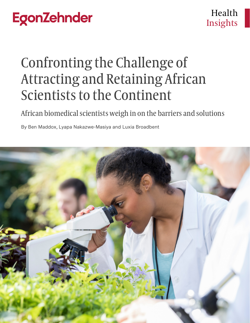# Confronting the Challenge of Attracting and Retaining African Scientists to the Continent

African biomedical scientists weigh in on the barriers and solutions

By Ben Maddox, Lyapa Nakazwe-Masiya and Luxia Broadbent

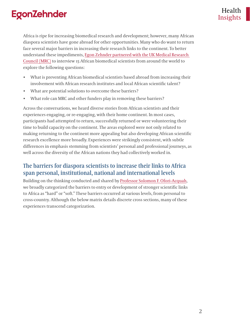Africa is ripe for increasing biomedical research and development; however, many African diaspora scientists have gone abroad for other opportunities. Many who do want to return face several major barriers in increasing their research links to the continent. To better understand these impediments, [Egon Zehnder partnered with the UK Medical Research](https://www.ukri.org/news/egon-zehnder-and-mrc-partner-to-support-african-scientists/)  [Council \(MRC\)](https://www.ukri.org/news/egon-zehnder-and-mrc-partner-to-support-african-scientists/) to interview 15 African biomedical scientists from around the world to explore the following questions:

- What is preventing African biomedical scientists based abroad from increasing their involvement with African research institutes and local African scientific talent?
- What are potential solutions to overcome these barriers?
- What role can MRC and other funders play in removing these barriers?

Across the conversations, we heard diverse stories from African scientists and their experiences engaging, or re-engaging, with their home continent. In most cases, participants had attempted to return, successfully returned or were volunteering their time to build capacity on the continent. The areas explored were not only related to making returning to the continent more appealing but also developing African scientific research excellence more broadly. Experiences were strikingly consistent, with subtle differences in emphasis stemming from scientists' personal and professional journeys, as well across the diversity of the African nations they had collectively worked in.

#### **The barriers for diaspora scientists to increase their links to Africa span personal, institutional, national and international levels**

Building on the thinking conducted and shared by [Professor Solomon F. Ofori-Acquah,](https://publichealth.wustl.edu/events/building-capacity-in-low-resource-regions-to-catalyze-transformative-research/) we broadly categorized the barriers to entry or development of stronger scientific links to Africa as "hard" or "soft." These barriers occurred at various levels, from personal to cross-country. Although the below matrix details discrete cross sections, many of these experiences transcend categorization.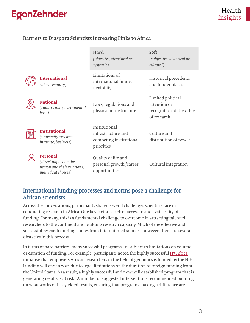#### **Barriers to Diaspora Scientists Increasing Links to Africa**

|                                                                                                | <b>Hard</b><br>(objective, structural or<br>systemic)                        | Soft<br>(subjective, historical or<br>cultural)                              |
|------------------------------------------------------------------------------------------------|------------------------------------------------------------------------------|------------------------------------------------------------------------------|
| <b>International</b><br>(above country)                                                        | Limitations of<br>international funder<br>flexibility                        | <b>Historical precedents</b><br>and funder biases                            |
| <b>National</b><br>(country and governmental<br>level)                                         | Laws, regulations and<br>physical infrastructure                             | Limited political<br>attention or<br>recognition of the value<br>of research |
| <b>Institutional</b><br>(university, research<br>institute, business)                          | Institutional<br>infrastructure and<br>competing institutional<br>priorities | Culture and<br>distribution of power                                         |
| <b>Personal</b><br>(direct impact on the<br>person and their relations,<br>individual choices) | Quality of life and<br>personal growth /career<br>opportunities              | Cultural integration                                                         |

#### **International funding processes and norms pose a challenge for African scientists**

Across the conversations, participants shared several challenges scientists face in conducting research in Africa. One key factor is lack of access to and availability of funding. For many, this is a fundamental challenge to overcome in attracting talented researchers to the continent and building research capacity. Much of the effective and successful research funding comes from international sources; however, there are several obstacles in this process.

In terms of hard barriers, many successful programs are subject to limitations on volume or duration of funding. For example, participants noted the highly successful [H3 Africa](https://h3africa.org/) initiative that empowers African researchers in the field of genomics is funded by the NIH. Funding will end in 2021 due to legal limitations on the duration of foreign funding from the United States. As a result, a highly successful and now well-established program that is generating results is at risk. A number of suggested interventions recommended building on what works or has yielded results, ensuring that programs making a difference are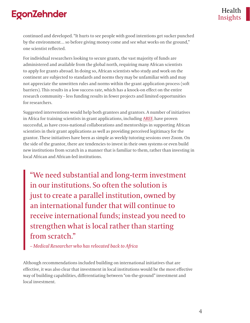continued and developed. "It hurts to see people with good intentions get sucker punched by the environment… so before giving money come and see what works on the ground," one scientist reflected.

For individual researchers looking to secure grants, the vast majority of funds are administered and available from the global north, requiring many African scientists to apply for grants abroad. In doing so, African scientists who study and work on the continent are subjected to standards and norms they may be unfamiliar with and may not appreciate the unwritten rules and norms within the grant application process (soft barriers). This results in a low success rate, which has a knock-on effect on the entire research community – less funding results in fewer projects and limited opportunities for researchers.

Suggested interventions would help both grantees and grantors. A number of initiatives in Africa for training scientists in grant applications, including [AREF](https://www.africaresearchexcellencefund.org.uk/pages/category/open-funding-calls), have proven successful, as have cross-national collaborations and mentorships in supporting African scientists in their grant applications as well as providing perceived legitimacy for the grantor. These initiatives have been as simple as weekly tutoring sessions over Zoom. On the side of the grantor, there are tendencies to invest in their own systems or even build new institutions from scratch in a manner that is familiar to them, rather than investing in local African and African-led institutions.

"We need substantial and long-term investment in our institutions. So often the solution is just to create a parallel institution, owned by an international funder that will continue to receive international funds; instead you need to strengthen what is local rather than starting from scratch."

*– Medical Researcher who has relocated back to Africa*

Although recommendations included building on international initiatives that are effective, it was also clear that investment in local institutions would be the most effective way of building capabilities, differentiating between "on-the-ground" investment and local investment.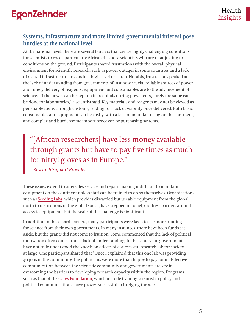#### **Systems, infrastructure and more limited governmental interest pose hurdles at the national level**

At the national level, there are several barriers that create highly challenging conditions for scientists to excel, particularly African diaspora scientists who are re-adjusting to conditions on the ground. Participants shared frustrations with the overall physical environment for scientific research, such as power outages in some countries and a lack of overall infrastructure to conduct high-level research. Notably, frustrations peaked at the lack of understanding from governments of just how crucial reliable sources of power and timely delivery of reagents, equipment and consumables are to the advancement of science. "If the power can be kept on in hospitals during power cuts, surely the same can be done for laboratories," a scientist said*.* Key materials and reagents may not be viewed as perishable items through customs, leading to a lack of viability once delivered. Both basic consumables and equipment can be costly, with a lack of manufacturing on the continent, and complex and burdensome import processes or purchasing systems.

### "[African researchers] have less money available through grants but have to pay five times as much for nitryl gloves as in Europe."

*– Research Support Provider*

These issues extend to aftersales service and repair, making it difficult to maintain equipment on the continent unless staff can be trained to do so themselves. Organizations such as [Seeding Labs,](https://seedinglabs.org/) which provides discarded but useable equipment from the global north to institutions in the global south, have stepped in to help address barriers around access to equipment, but the scale of the challenge is significant.

In addition to these hard barriers, many participants were keen to see more funding for science from their own governments. In many instances, there have been funds set aside, but the grants did not come to fruition. Some commented that the lack of political motivation often comes from a lack of understanding. In the same vein, governments have not fully understood the knock-on effects of a successful research lab for society at large. One participant shared that "Once I explained that this one lab was providing 40 jobs in the community, the politicians were more than happy to pay for it*."* Effective communication between the scientific community and governments are key in overcoming the barriers to developing research capacity within the region. Programs, such as that of the [Gates Foundation,](https://gcgh.grandchallenges.org/challenge/calestous-juma-science-leadership-fellowship) which include training scientist in policy and political communications, have proved successful in bridging the gap.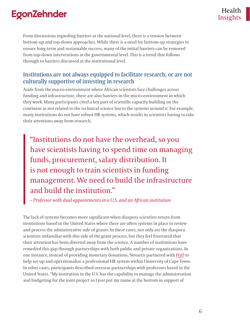From discussions regarding barriers at the national level, there is a tension between bottom-up and top-down approaches. While there is a need for bottom-up strategies to ensure long-term and sustainable success, many of the initial barriers can be removed from top-down interventions at the governmental level. This is a trend that follows through to barriers discussed at the institutional level.

#### **Institutions are not always equipped to facilitate research, or are not culturally supportive of investing in research**

Aside from the macro-environment where African scientists face challenges across funding and infrastructure, there are also barriers in the micro-environment in which they work. Many participants cited a key part of scientific capacity building on the continent as not related to the technical science but to the systems around it. For example, many institutions do not have robust HR systems, which results in scientists having to take their attentions away from research*.* 

"Institutions do not have the overhead, so you have scientists having to spend time on managing funds, procurement, salary distribution. It is not enough to train scientists in funding management. We need to build the infrastructure and build the institution."

*– Professor with dual appointments in a U.S. and an African institution*

The lack of systems becomes more significant when diaspora scientists return from institutions based in the United States where there are often systems in place to review and process the administrative side of grants. In these cases, not only are the diaspora scientists unfamiliar with this side of the grant process, but they feel frustrated that their attention has been diverted away from the science. A number of institutions have remedied this gap through partnerships with both public and private organizations. In one instance, instead of providing monetary donations, Novartis partnered with [H3D](http://www.h3d.uct.ac.za/h3d/about-h3d/governance-and-management) to help set-up and operationalize a professional HR system within University of Cape Town. In other cases, participants described overseas partnerships with professors based in the United States. "My institution in the U.S. has the capability to manage the administration and budgeting for the joint project so I just put my name at the bottom in support of

Insights Health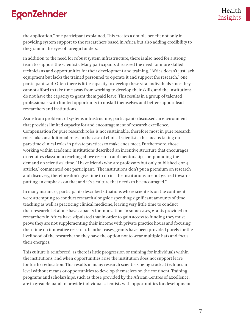the application," one participant explained. This creates a double benefit not only in providing system support to the researchers based in Africa but also adding credibility to the grant in the eyes of foreign funders.

In addition to the need for robust system infrastructure, there is also need for a strong team to support the scientists. Many participants discussed the need for more skilled technicians and opportunities for their development and training. "Africa doesn't just lack equipment but lacks the trained personnel to operate it and support the research," one participant said. Often there is little capacity to develop these vital individuals since they cannot afford to take time away from working to develop their skills, and the institutions do not have the capacity to grant them paid leave. This results in a group of talented professionals with limited opportunity to upskill themselves and better support lead researchers and institutions.

Aside from problems of systems infrastructure, participants discussed an environment that provides limited capacity for and encouragement of research excellence. Compensation for pure research roles is not sustainable, therefore most in pure research roles take on additional roles. In the case of clinical scientists, this means taking on part-time clinical roles in private practices to make ends meet. Furthermore, those working within academic institutions described an incentive structure that encourages or requires classroom teaching above research and mentorship, compounding the demand on scientists' time. "I have friends who are professors but only published 3 or 4 articles," commented one participant. "The institutions don't put a premium on research and discovery, therefore don't give time to do it – the institutions are not geared towards putting an emphasis on that and it's a culture that needs to be encouraged."

In many instances, participants described situations where scientists on the continent were attempting to conduct research alongside spending significant amounts of time teaching as well as practicing clinical medicine, leaving very little time to conduct their research, let alone have capacity for innovation. In some cases, grants provided to researchers in Africa have stipulated that in order to gain access to funding they must prove they are not supplementing their income with private practice hours and focusing their time on innovative research. In other cases, grants have been provided purely for the livelihood of the researcher so they have the option not to wear multiple hats and focus their energies.

This culture is reinforced, as there is little progression or training for individuals within the institutions, and when opportunities arise the institution does not support leave for further education. This results in many research scientists being stuck at technician level without means or opportunities to develop themselves on the continent. Training programs and scholarships, such as those provided by the African Centres of Excellence, are in great demand to provide individual scientists with opportunities for development.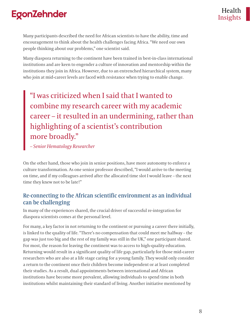Many participants described the need for African scientists to have the ability, time and encouragement to think about the health challenges facing Africa. "We need our own people thinking about our problems," one scientist said.

Many diaspora returning to the continent have been trained in best-in-class international institutions and are keen to engender a culture of innovation and mentorship within the institutions they join in Africa. However, due to an entrenched hierarchical system, many who join at mid-career levels are faced with resistance when trying to enable change.

"I was criticized when I said that I wanted to combine my research career with my academic career – it resulted in an undermining, rather than highlighting of a scientist's contribution more broadly."

*– Senior Hematology Researcher*

On the other hand, those who join in senior positions, have more autonomy to enforce a culture transformation. As one senior professor described, "I would arrive to the meeting on time, and if my colleagues arrived after the allocated time slot I would leave – the next time they knew not to be late!"

#### **Re-connecting to the African scientific environment as an individual can be challenging**

In many of the experiences shared, the crucial driver of successful re-integration for diaspora scientists comes at the personal level.

For many, a key factor in not returning to the continent or pursuing a career there initially, is linked to the quality of life. "There's no compensation that could meet me halfway – the gap was just too big and the rest of my family was still in the UK," one participant shared. For most, the reason for leaving the continent was to access to high-quality education. Returning would result in a significant quality of life gap, particularly for those mid-career researchers who are also at a life stage caring for a young family. They would only consider a return to the continent once their children become independent or at least completed their studies. As a result, dual appointments between international and African institutions have become more prevalent, allowing individuals to spend time in both institutions whilst maintaining their standard of living. Another initiative mentioned by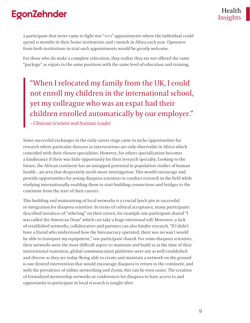a participant that never came to light was "11+1" appointments where the individual could spend 11 months in their home institutions and 1 month in Africa each year. Openness from both institutions to trial such appointments would be greatly welcome.

For those who do make a complete relocation, they realize they are not offered the same "package" as expats in the same positions with the same level of education and training.

"When I relocated my family from the UK, I could not enroll my children in the international school, yet my colleague who was an expat had their children enrolled automatically by our employer."

*– Clinician Scientist and Institute Leader*

Some successful exchanges in the early career stage came in niche opportunities for research where particular diseases or interventions are only observable in Africa which coincided with their chosen specialities. However, for others specialization becomes a hinderance if there was little opportunity for their research specialty. Looking to the future, the African continent has an untapped potential in population studies of human health – an area that desperately needs more investigation. This would encourage and provide opportunities for young diaspora scientists to conduct research in the field while studying internationally enabling them to start building connections and bridges to the continent from the start of their careers.

This building and maintaining of local networks is a crucial lynch pin in successful re-integration for diaspora scientists. In terms of cultural acceptance, many participants described instances of "othering" on their return, for example one participant shared "I was called the American Dean" which can take a huge emotional toll. Moreover, a lack of established networks, collaborators and partners can also hinder research. "If I didn't have a friend who understood how the bureaucracy operated, there was no way I would be able to transport my equipment," one participant shared. For some diaspora scientists, their networks were the most difficult aspect to maintain and build as at the time of their international transition, global communication platforms were not as well established and diverse as they are today. Being able to create and maintain a network on the ground is one desired intervention that would encourage diaspora to return to the continent, and with the prevalence of online networking and Zoom, this can be even easier. The creation of formalized mentorship networks or conferences for diaspora to have access to and opportunity to participate in local research is sought after.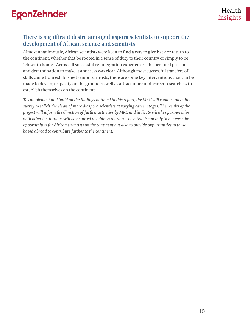#### **There is significant desire among diaspora scientists to support the development of African science and scientists**

Almost unanimously, African scientists were keen to find a way to give back or return to the continent, whether that be rooted in a sense of duty to their country or simply to be "closer to home." Across all successful re-integration experiences, the personal passion and determination to make it a success was clear. Although most successful transfers of skills came from established senior scientists, there are some key interventions that can be made to develop capacity on the ground as well as attract more mid-career researchers to establish themselves on the continent.

*To complement and build on the findings outlined in this report, the MRC will conduct an online survey to solicit the views of more diaspora scientists at varying career stages. The results of the project will inform the direction of further activities by MRC and indicate whether partnerships with other institutions will be required to address the gap. The intent is not only to increase the opportunities for African scientists on the continent but also to provide opportunities to those based abroad to contribute further to the continent.*